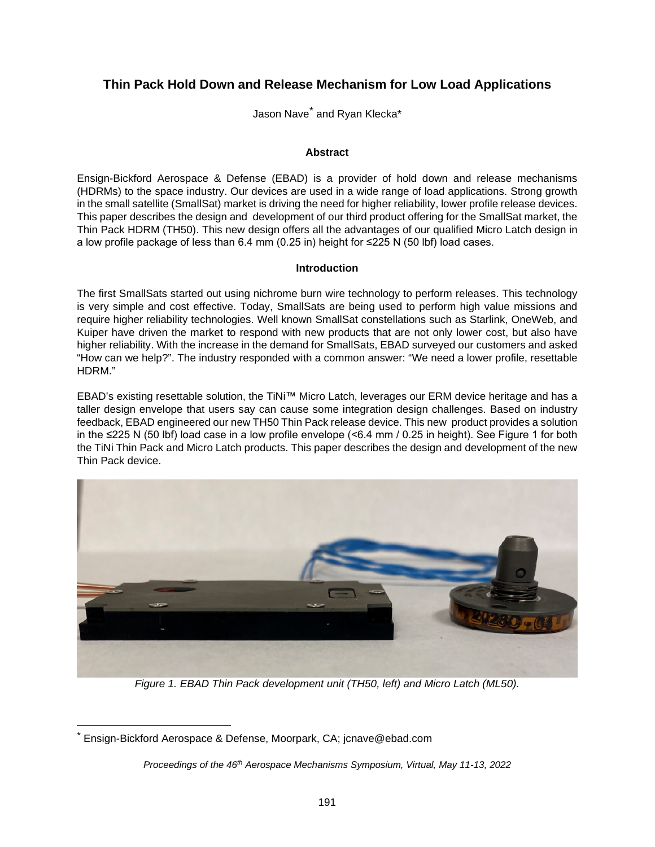# **Thin Pack Hold Down and Release Mechanism for Low Load Applications**

Jason Nave[\\*](#page-0-1) and Ryan Klecka\*

## **Abstract**

Ensign-Bickford Aerospace & Defense (EBAD) is a provider of hold down and release mechanisms (HDRMs) to the space industry. Our devices are used in a wide range of load applications. Strong growth in the small satellite (SmallSat) market is driving the need for higher reliability, lower profile release devices. This paper describes the design and development of our third product offering for the SmallSat market, the Thin Pack HDRM (TH50). This new design offers all the advantages of our qualified Micro Latch design in a low profile package of less than 6.4 mm (0.25 in) height for ≤225 N (50 lbf) load cases.

## **Introduction**

The first SmallSats started out using nichrome burn wire technology to perform releases. This technology is very simple and cost effective. Today, SmallSats are being used to perform high value missions and require higher reliability technologies. Well known SmallSat constellations such as Starlink, OneWeb, and Kuiper have driven the market to respond with new products that are not only lower cost, but also have higher reliability. With the increase in the demand for SmallSats, EBAD surveyed our customers and asked "How can we help?". The industry responded with a common answer: "We need a lower profile, resettable HDRM."

EBAD's existing resettable solution, the TiNi™ Micro Latch, leverages our ERM device heritage and has a taller design envelope that users say can cause some integration design challenges. Based on industry feedback, EBAD engineered our new TH50 Thin Pack release device. This new product provides a solution in the ≤225 N (50 lbf) load case in a low profile envelope (<6.4 mm / 0.25 in height). See [Figure](#page-0-0) 1 for both the TiNi Thin Pack and Micro Latch products. This paper describes the design and development of the new Thin Pack device.

<span id="page-0-0"></span>

*Figure 1. EBAD Thin Pack development unit (TH50, left) and Micro Latch (ML50).* 

<span id="page-0-1"></span><sup>\*</sup> Ensign-Bickford Aerospace & Defense, Moorpark, CA; jcnave@ebad.com

*Proceedings of the 46th Aerospace Mechanisms Symposium, Virtual, May 11-13, 2022*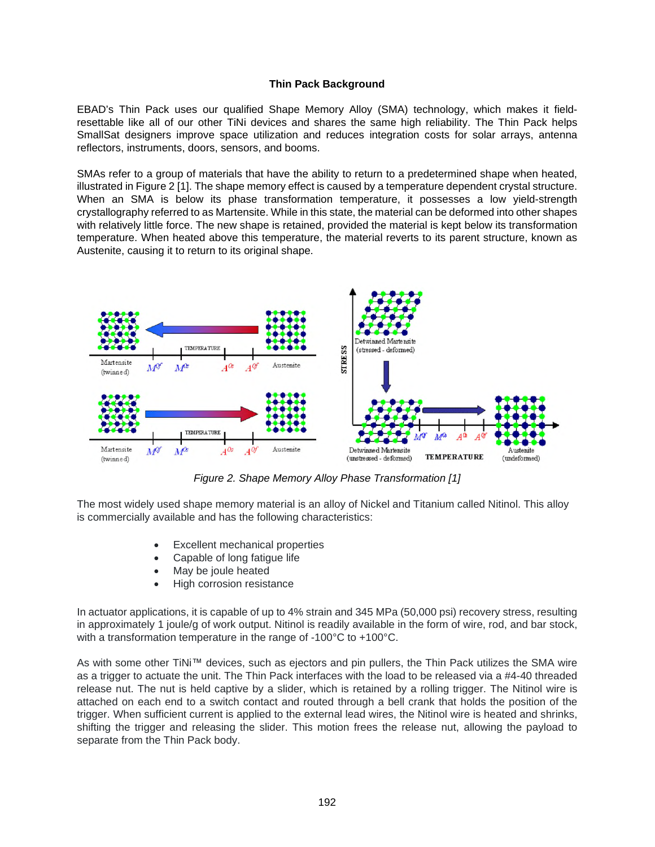## **Thin Pack Background**

EBAD's Thin Pack uses our qualified Shape Memory Alloy (SMA) technology, which makes it fieldresettable like all of our other TiNi devices and shares the same high reliability. The Thin Pack helps SmallSat designers improve space utilization and reduces integration costs for solar arrays, antenna reflectors, instruments, doors, sensors, and booms.

SMAs refer to a group of materials that have the ability to return to a predetermined shape when heated, illustrated in [Figure 2](#page-1-0) [1]. The shape memory effect is caused by a temperature dependent crystal structure. When an SMA is below its phase transformation temperature, it possesses a low yield-strength crystallography referred to as Martensite. While in this state, the material can be deformed into other shapes with relatively little force. The new shape is retained, provided the material is kept below its transformation temperature. When heated above this temperature, the material reverts to its parent structure, known as Austenite, causing it to return to its original shape.

<span id="page-1-0"></span>

*Figure 2. Shape Memory Alloy Phase Transformation [1]* 

The most widely used shape memory material is an alloy of Nickel and Titanium called Nitinol. This alloy is commercially available and has the following characteristics:

- Excellent mechanical properties
- Capable of long fatigue life
- May be joule heated
- High corrosion resistance

In actuator applications, it is capable of up to 4% strain and 345 MPa (50,000 psi) recovery stress, resulting in approximately 1 joule/g of work output. Nitinol is readily available in the form of wire, rod, and bar stock, with a transformation temperature in the range of -100°C to +100°C.

As with some other TiNi™ devices, such as ejectors and pin pullers, the Thin Pack utilizes the SMA wire as a trigger to actuate the unit. The Thin Pack interfaces with the load to be released via a #4-40 threaded release nut. The nut is held captive by a slider, which is retained by a rolling trigger. The Nitinol wire is attached on each end to a switch contact and routed through a bell crank that holds the position of the trigger. When sufficient current is applied to the external lead wires, the Nitinol wire is heated and shrinks, shifting the trigger and releasing the slider. This motion frees the release nut, allowing the payload to separate from the Thin Pack body.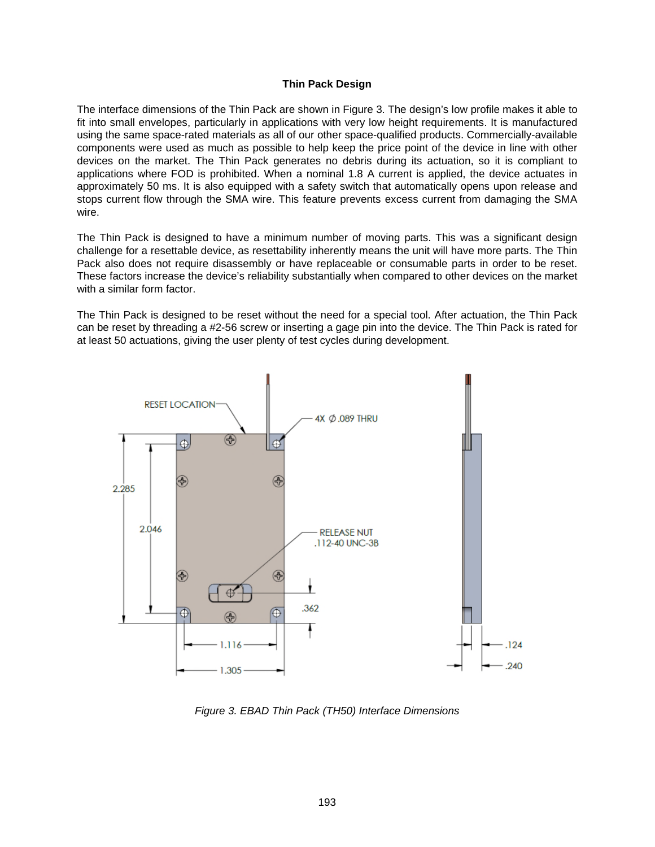#### **Thin Pack Design**

The interface dimensions of the Thin Pack are shown in [Figure 3](#page-2-0). The design's low profile makes it able to fit into small envelopes, particularly in applications with very low height requirements. It is manufactured using the same space-rated materials as all of our other space-qualified products. Commercially-available components were used as much as possible to help keep the price point of the device in line with other devices on the market. The Thin Pack generates no debris during its actuation, so it is compliant to applications where FOD is prohibited. When a nominal 1.8 A current is applied, the device actuates in approximately 50 ms. It is also equipped with a safety switch that automatically opens upon release and stops current flow through the SMA wire. This feature prevents excess current from damaging the SMA wire.

The Thin Pack is designed to have a minimum number of moving parts. This was a significant design challenge for a resettable device, as resettability inherently means the unit will have more parts. The Thin Pack also does not require disassembly or have replaceable or consumable parts in order to be reset. These factors increase the device's reliability substantially when compared to other devices on the market with a similar form factor.

The Thin Pack is designed to be reset without the need for a special tool. After actuation, the Thin Pack can be reset by threading a #2-56 screw or inserting a gage pin into the device. The Thin Pack is rated for at least 50 actuations, giving the user plenty of test cycles during development.

<span id="page-2-0"></span>

*Figure 3. EBAD Thin Pack (TH50) Interface Dimensions*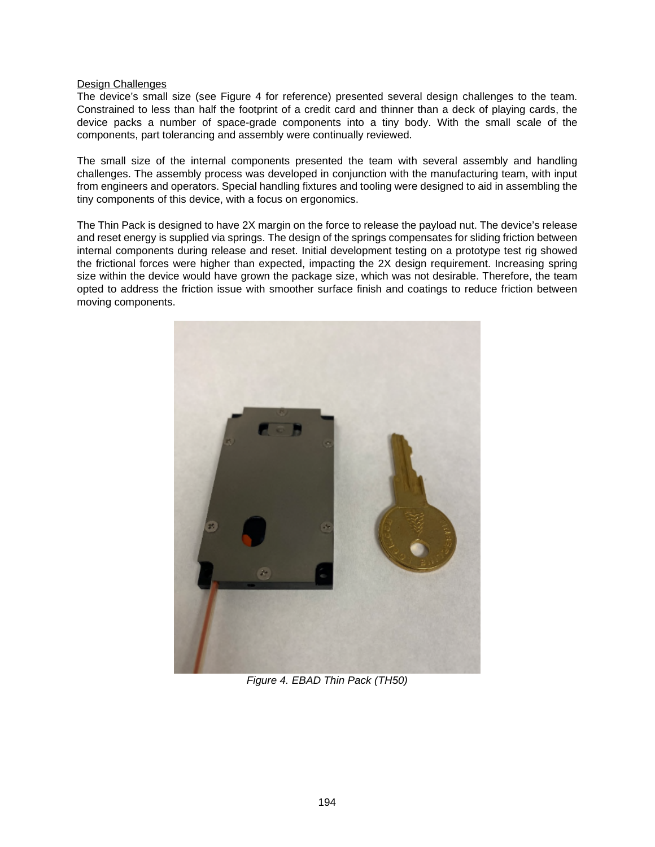#### Design Challenges

The device's small size (see [Figure 4](#page-3-0) for reference) presented several design challenges to the team. Constrained to less than half the footprint of a credit card and thinner than a deck of playing cards, the device packs a number of space-grade components into a tiny body. With the small scale of the components, part tolerancing and assembly were continually reviewed.

The small size of the internal components presented the team with several assembly and handling challenges. The assembly process was developed in conjunction with the manufacturing team, with input from engineers and operators. Special handling fixtures and tooling were designed to aid in assembling the tiny components of this device, with a focus on ergonomics.

The Thin Pack is designed to have 2X margin on the force to release the payload nut. The device's release and reset energy is supplied via springs. The design of the springs compensates for sliding friction between internal components during release and reset. Initial development testing on a prototype test rig showed the frictional forces were higher than expected, impacting the 2X design requirement. Increasing spring size within the device would have grown the package size, which was not desirable. Therefore, the team opted to address the friction issue with smoother surface finish and coatings to reduce friction between moving components.

<span id="page-3-0"></span>

*Figure 4. EBAD Thin Pack (TH50)*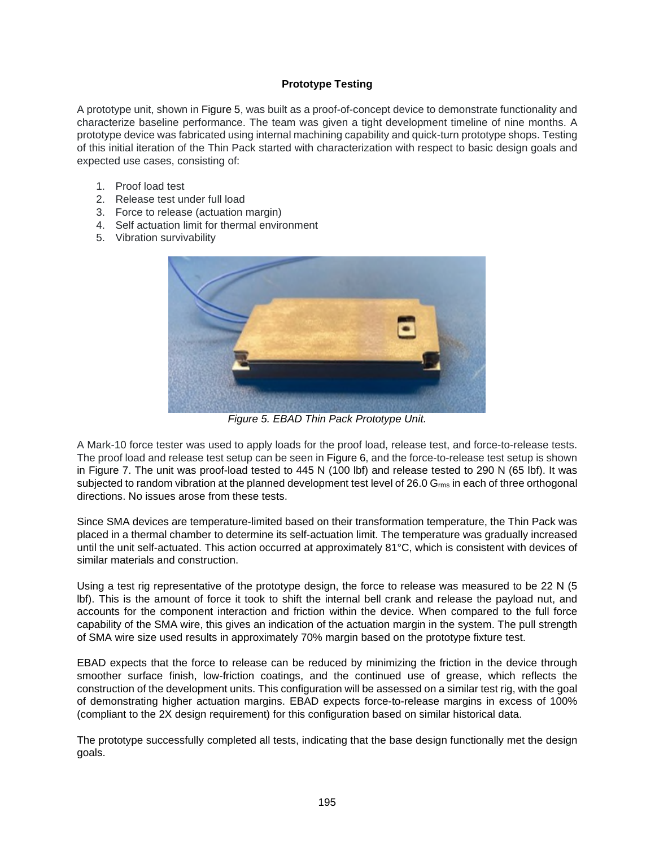## **Prototype Testing**

A prototype unit, shown in [Figure 5,](#page-4-0) was built as a proof-of-concept device to demonstrate functionality and characterize baseline performance. The team was given a tight development timeline of nine months. A prototype device was fabricated using internal machining capability and quick-turn prototype shops. Testing of this initial iteration of the Thin Pack started with characterization with respect to basic design goals and expected use cases, consisting of:

- 1. Proof load test
- 2. Release test under full load
- 3. Force to release (actuation margin)
- 4. Self actuation limit for thermal environment
- 5. Vibration survivability

<span id="page-4-0"></span>

*Figure 5. EBAD Thin Pack Prototype Unit.* 

A Mark-10 force tester was used to apply loads for the proof load, release test, and force-to-release tests. The proof load and release test setup can be seen in [Figure 6,](#page-5-0) and the force-to-release test setup is shown in [Figure 7](#page-5-1). The unit was proof-load tested to 445 N (100 lbf) and release tested to 290 N (65 lbf). It was subjected to random vibration at the planned development test level of 26.0  $G_{\rm rms}$  in each of three orthogonal directions. No issues arose from these tests.

Since SMA devices are temperature-limited based on their transformation temperature, the Thin Pack was placed in a thermal chamber to determine its self-actuation limit. The temperature was gradually increased until the unit self-actuated. This action occurred at approximately 81°C, which is consistent with devices of similar materials and construction.

Using a test rig representative of the prototype design, the force to release was measured to be 22 N (5 lbf). This is the amount of force it took to shift the internal bell crank and release the payload nut, and accounts for the component interaction and friction within the device. When compared to the full force capability of the SMA wire, this gives an indication of the actuation margin in the system. The pull strength of SMA wire size used results in approximately 70% margin based on the prototype fixture test.

EBAD expects that the force to release can be reduced by minimizing the friction in the device through smoother surface finish, low-friction coatings, and the continued use of grease, which reflects the construction of the development units. This configuration will be assessed on a similar test rig, with the goal of demonstrating higher actuation margins. EBAD expects force-to-release margins in excess of 100% (compliant to the 2X design requirement) for this configuration based on similar historical data.

The prototype successfully completed all tests, indicating that the base design functionally met the design goals.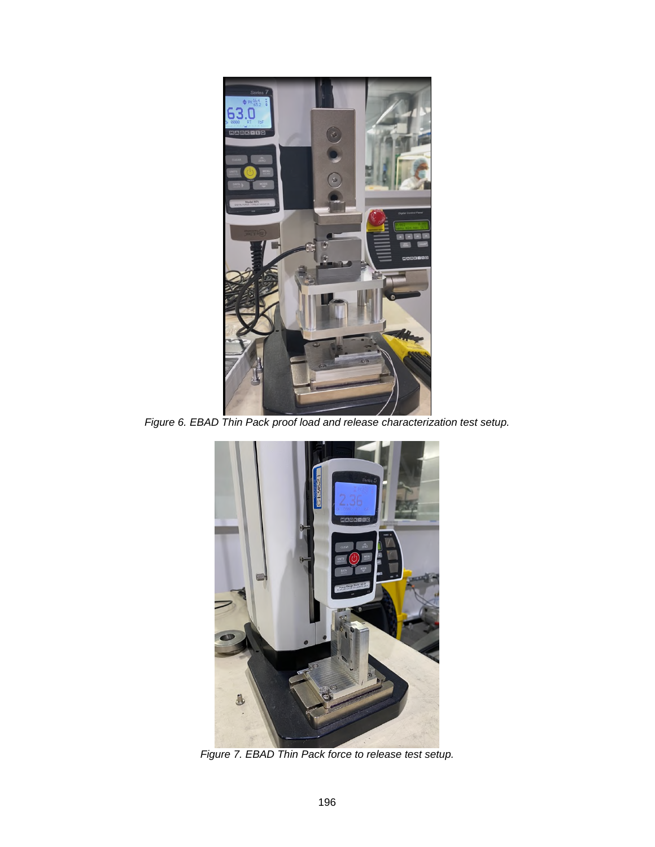<span id="page-5-2"></span><span id="page-5-0"></span>

*Figure 6. EBAD Thin Pack proof load and release characterization test setup.* 

<span id="page-5-1"></span>

*Figure 7. EBAD Thin Pack force to release test setup.*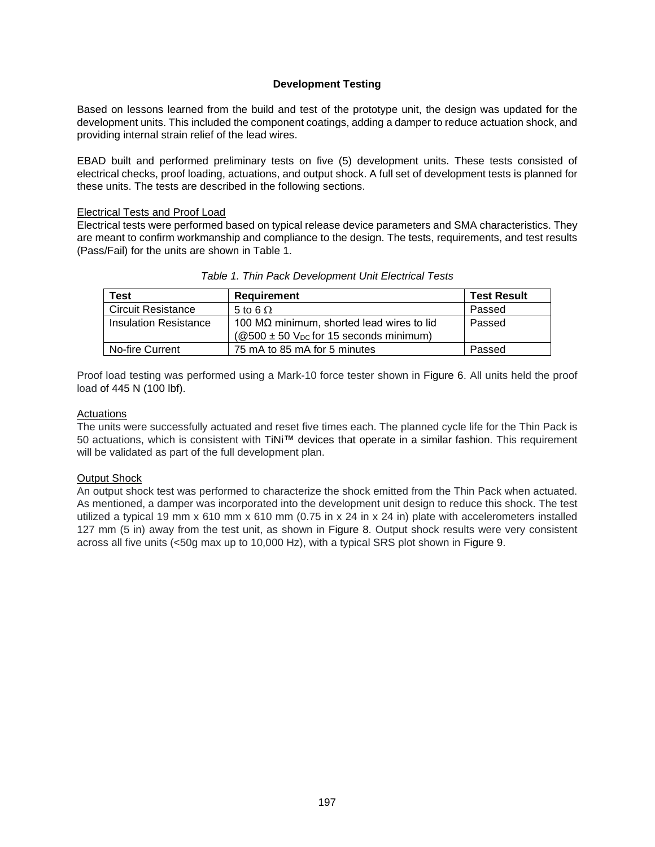## **Development Testing**

Based on lessons learned from the build and test of the prototype unit, the design was updated for the development units. This included the component coatings, adding a damper to reduce actuation shock, and providing internal strain relief of the lead wires.

EBAD built and performed preliminary tests on five (5) development units. These tests consisted of electrical checks, proof loading, actuations, and output shock. A full set of development tests is planned for these units. The tests are described in the following sections.

#### Electrical Tests and Proof Load

Electrical tests were performed based on typical release device parameters and SMA characteristics. They are meant to confirm workmanship and compliance to the design. The tests, requirements, and test results (Pass/Fail) for the units are shown in [Table 1](#page-6-0).

| <b>Test</b>               | <b>Requirement</b>                                                                                          | <b>Test Result</b> |
|---------------------------|-------------------------------------------------------------------------------------------------------------|--------------------|
| <b>Circuit Resistance</b> | 5 to 6 $\Omega$                                                                                             | Passed             |
| Insulation Resistance     | 100 M $\Omega$ minimum, shorted lead wires to lid<br>$(@500 \pm 50$ V <sub>DC</sub> for 15 seconds minimum) | Passed             |
| No-fire Current           | 75 mA to 85 mA for 5 minutes                                                                                | Passed             |

<span id="page-6-0"></span>

| Table 1. Thin Pack Development Unit Electrical Tests |
|------------------------------------------------------|
|------------------------------------------------------|

Proof load testing was performed using a Mark-10 force tester shown in [Figure 6](#page-5-2). All units held the proof load of 445 N (100 lbf).

#### Actuations

The units were successfully actuated and reset five times each. The planned cycle life for the Thin Pack is 50 actuations, which is consistent with TiNi™ devices that operate in a similar fashion. This requirement will be validated as part of the full development plan.

#### Output Shock

An output shock test was performed to characterize the shock emitted from the Thin Pack when actuated. As mentioned, a damper was incorporated into the development unit design to reduce this shock. The test utilized a typical 19 mm x 610 mm x 610 mm (0.75 in x 24 in x 24 in) plate with accelerometers installed 127 mm (5 in) away from the test unit, as shown in [Figure 8.](#page-7-0) Output shock results were very consistent across all five units (<50g max up to 10,000 Hz), with a typical SRS plot shown in [Figure 9](#page-7-1).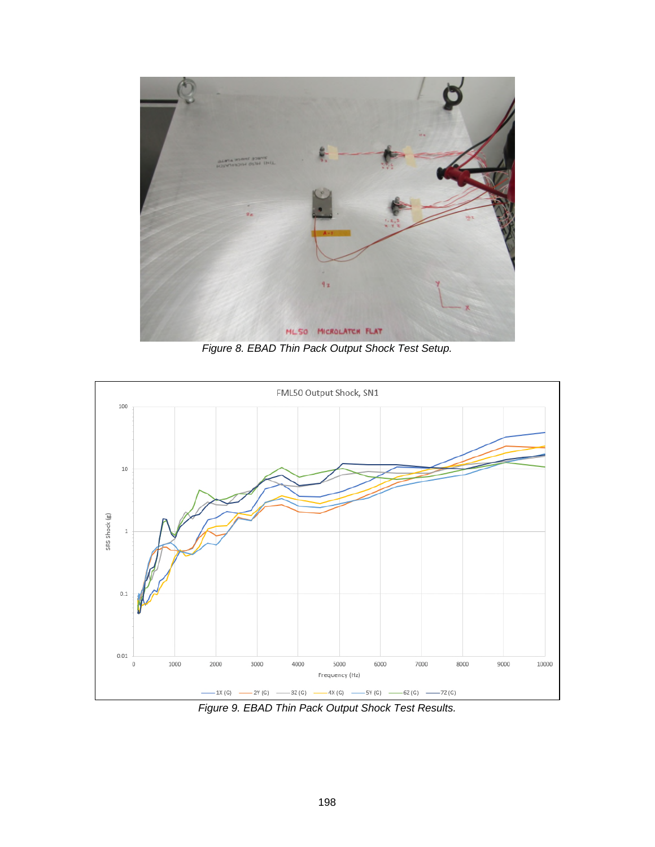<span id="page-7-0"></span>

*Figure 8. EBAD Thin Pack Output Shock Test Setup.* 

<span id="page-7-1"></span>

*Figure 9. EBAD Thin Pack Output Shock Test Results.*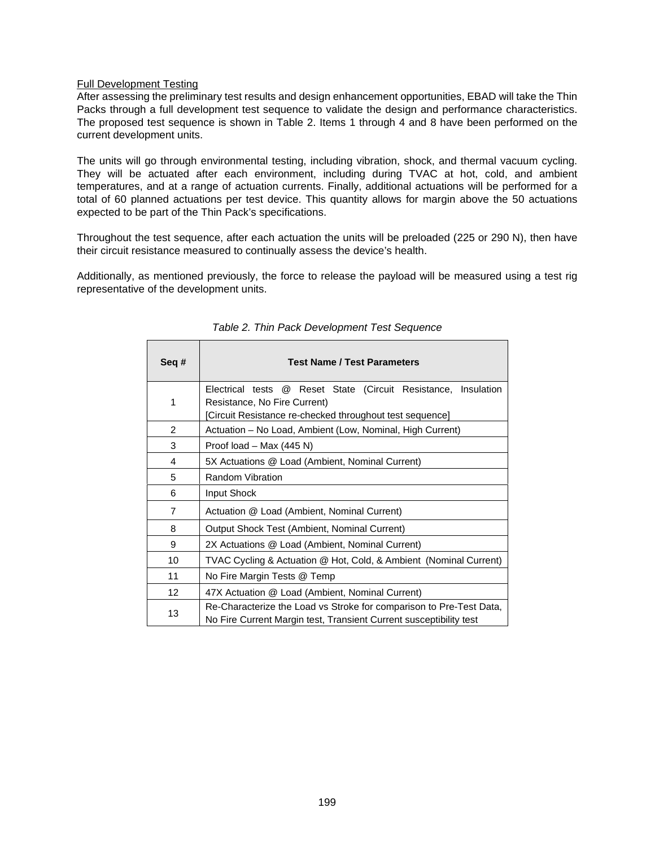#### Full Development Testing

After assessing the preliminary test results and design enhancement opportunities, EBAD will take the Thin Packs through a full development test sequence to validate the design and performance characteristics. The proposed test sequence is shown in [Table 2.](#page-8-0) Items 1 through 4 and 8 have been performed on the current development units.

The units will go through environmental testing, including vibration, shock, and thermal vacuum cycling. They will be actuated after each environment, including during TVAC at hot, cold, and ambient temperatures, and at a range of actuation currents. Finally, additional actuations will be performed for a total of 60 planned actuations per test device. This quantity allows for margin above the 50 actuations expected to be part of the Thin Pack's specifications.

Throughout the test sequence, after each actuation the units will be preloaded (225 or 290 N), then have their circuit resistance measured to continually assess the device's health.

Additionally, as mentioned previously, the force to release the payload will be measured using a test rig representative of the development units.

| Seq#           | <b>Test Name / Test Parameters</b>                                                                                                        |
|----------------|-------------------------------------------------------------------------------------------------------------------------------------------|
| 1              | Reset State (Circuit Resistance, Insulation<br>Electrical tests @                                                                         |
|                | Resistance, No Fire Current)<br>[Circuit Resistance re-checked throughout test sequence]                                                  |
| 2              | Actuation – No Load, Ambient (Low, Nominal, High Current)                                                                                 |
| 3              | Proof load – Max $(445 N)$                                                                                                                |
| 4              | 5X Actuations @ Load (Ambient, Nominal Current)                                                                                           |
| 5              | Random Vibration                                                                                                                          |
| 6              | Input Shock                                                                                                                               |
| $\overline{7}$ | Actuation @ Load (Ambient, Nominal Current)                                                                                               |
| 8              | Output Shock Test (Ambient, Nominal Current)                                                                                              |
| 9              | 2X Actuations @ Load (Ambient, Nominal Current)                                                                                           |
| 10             | TVAC Cycling & Actuation @ Hot, Cold, & Ambient (Nominal Current)                                                                         |
| 11             | No Fire Margin Tests @ Temp                                                                                                               |
| 12             | 47X Actuation @ Load (Ambient, Nominal Current)                                                                                           |
| 13             | Re-Characterize the Load vs Stroke for comparison to Pre-Test Data,<br>No Fire Current Margin test, Transient Current susceptibility test |

<span id="page-8-0"></span>*Table 2. Thin Pack Development Test Sequence*